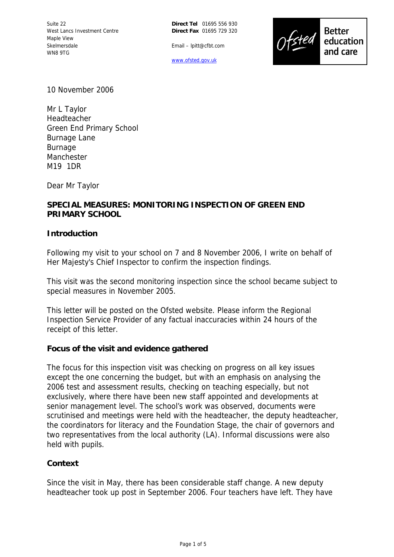

Email – lpitt@cfbt.com

www.ofsted.gov.uk

10 November 2006

Mr L Taylor Headteacher Green End Primary School Burnage Lane Burnage Manchester M19 1DR

Dear Mr Taylor

# **SPECIAL MEASURES: MONITORING INSPECTION OF GREEN END PRIMARY SCHOOL**

## **Introduction**

Following my visit to your school on 7 and 8 November 2006, I write on behalf of Her Majesty's Chief Inspector to confirm the inspection findings.

This visit was the second monitoring inspection since the school became subject to special measures in November 2005.

This letter will be posted on the Ofsted website. Please inform the Regional Inspection Service Provider of any factual inaccuracies within 24 hours of the receipt of this letter.

## **Focus of the visit and evidence gathered**

The focus for this inspection visit was checking on progress on all key issues except the one concerning the budget, but with an emphasis on analysing the 2006 test and assessment results, checking on teaching especially, but not exclusively, where there have been new staff appointed and developments at senior management level. The school's work was observed, documents were scrutinised and meetings were held with the headteacher, the deputy headteacher, the coordinators for literacy and the Foundation Stage, the chair of governors and two representatives from the local authority (LA). Informal discussions were also held with pupils.

## **Context**

Since the visit in May, there has been considerable staff change. A new deputy headteacher took up post in September 2006. Four teachers have left. They have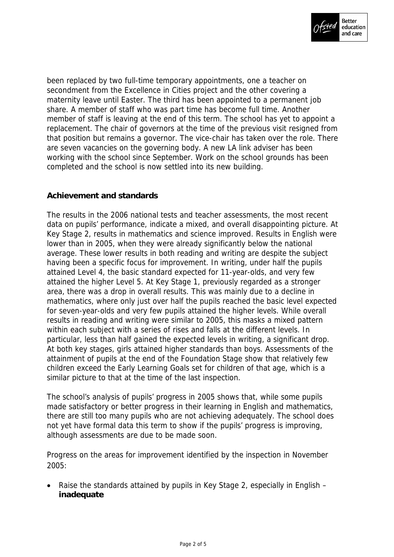

been replaced by two full-time temporary appointments, one a teacher on secondment from the Excellence in Cities project and the other covering a maternity leave until Easter. The third has been appointed to a permanent job share. A member of staff who was part time has become full time. Another member of staff is leaving at the end of this term. The school has yet to appoint a replacement. The chair of governors at the time of the previous visit resigned from that position but remains a governor. The vice-chair has taken over the role. There are seven vacancies on the governing body. A new LA link adviser has been working with the school since September. Work on the school grounds has been completed and the school is now settled into its new building.

# **Achievement and standards**

The results in the 2006 national tests and teacher assessments, the most recent data on pupils' performance, indicate a mixed, and overall disappointing picture. At Key Stage 2, results in mathematics and science improved. Results in English were lower than in 2005, when they were already significantly below the national average. These lower results in both reading and writing are despite the subject having been a specific focus for improvement. In writing, under half the pupils attained Level 4, the basic standard expected for 11-year-olds, and very few attained the higher Level 5. At Key Stage 1, previously regarded as a stronger area, there was a drop in overall results. This was mainly due to a decline in mathematics, where only just over half the pupils reached the basic level expected for seven-year-olds and very few pupils attained the higher levels. While overall results in reading and writing were similar to 2005, this masks a mixed pattern within each subject with a series of rises and falls at the different levels. In particular, less than half gained the expected levels in writing, a significant drop. At both key stages, girls attained higher standards than boys. Assessments of the attainment of pupils at the end of the Foundation Stage show that relatively few children exceed the Early Learning Goals set for children of that age, which is a similar picture to that at the time of the last inspection.

The school's analysis of pupils' progress in 2005 shows that, while some pupils made satisfactory or better progress in their learning in English and mathematics, there are still too many pupils who are not achieving adequately. The school does not yet have formal data this term to show if the pupils' progress is improving, although assessments are due to be made soon.

Progress on the areas for improvement identified by the inspection in November 2005:

 Raise the standards attained by pupils in Key Stage 2, especially in English – **inadequate**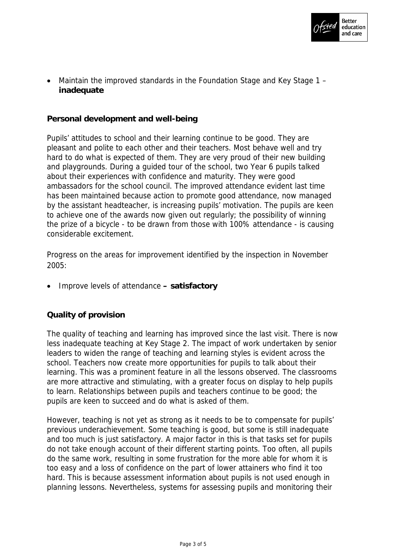

 Maintain the improved standards in the Foundation Stage and Key Stage 1 – **inadequate** 

**Personal development and well-being**

Pupils' attitudes to school and their learning continue to be good. They are pleasant and polite to each other and their teachers. Most behave well and try hard to do what is expected of them. They are very proud of their new building and playgrounds. During a guided tour of the school, two Year 6 pupils talked about their experiences with confidence and maturity. They were good ambassadors for the school council. The improved attendance evident last time has been maintained because action to promote good attendance, now managed by the assistant headteacher, is increasing pupils' motivation. The pupils are keen to achieve one of the awards now given out regularly; the possibility of winning the prize of a bicycle - to be drawn from those with 100% attendance - is causing considerable excitement.

Progress on the areas for improvement identified by the inspection in November 2005:

Improve levels of attendance **– satisfactory**

**Quality of provision**

The quality of teaching and learning has improved since the last visit. There is now less inadequate teaching at Key Stage 2. The impact of work undertaken by senior leaders to widen the range of teaching and learning styles is evident across the school. Teachers now create more opportunities for pupils to talk about their learning. This was a prominent feature in all the lessons observed. The classrooms are more attractive and stimulating, with a greater focus on display to help pupils to learn. Relationships between pupils and teachers continue to be good; the pupils are keen to succeed and do what is asked of them.

However, teaching is not yet as strong as it needs to be to compensate for pupils' previous underachievement. Some teaching is good, but some is still inadequate and too much is just satisfactory. A major factor in this is that tasks set for pupils do not take enough account of their different starting points. Too often, all pupils do the same work, resulting in some frustration for the more able for whom it is too easy and a loss of confidence on the part of lower attainers who find it too hard. This is because assessment information about pupils is not used enough in planning lessons. Nevertheless, systems for assessing pupils and monitoring their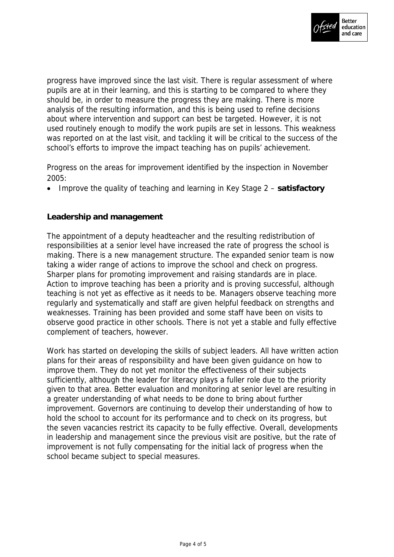

progress have improved since the last visit. There is regular assessment of where pupils are at in their learning, and this is starting to be compared to where they should be, in order to measure the progress they are making. There is more analysis of the resulting information, and this is being used to refine decisions about where intervention and support can best be targeted. However, it is not used routinely enough to modify the work pupils are set in lessons. This weakness was reported on at the last visit, and tackling it will be critical to the success of the school's efforts to improve the impact teaching has on pupils' achievement.

Progress on the areas for improvement identified by the inspection in November 2005:

Improve the quality of teaching and learning in Key Stage 2 – **satisfactory**

# **Leadership and management**

The appointment of a deputy headteacher and the resulting redistribution of responsibilities at a senior level have increased the rate of progress the school is making. There is a new management structure. The expanded senior team is now taking a wider range of actions to improve the school and check on progress. Sharper plans for promoting improvement and raising standards are in place. Action to improve teaching has been a priority and is proving successful, although teaching is not yet as effective as it needs to be. Managers observe teaching more regularly and systematically and staff are given helpful feedback on strengths and weaknesses. Training has been provided and some staff have been on visits to observe good practice in other schools. There is not yet a stable and fully effective complement of teachers, however.

Work has started on developing the skills of subject leaders. All have written action plans for their areas of responsibility and have been given guidance on how to improve them. They do not yet monitor the effectiveness of their subjects sufficiently, although the leader for literacy plays a fuller role due to the priority given to that area. Better evaluation and monitoring at senior level are resulting in a greater understanding of what needs to be done to bring about further improvement. Governors are continuing to develop their understanding of how to hold the school to account for its performance and to check on its progress, but the seven vacancies restrict its capacity to be fully effective. Overall, developments in leadership and management since the previous visit are positive, but the rate of improvement is not fully compensating for the initial lack of progress when the school became subject to special measures.